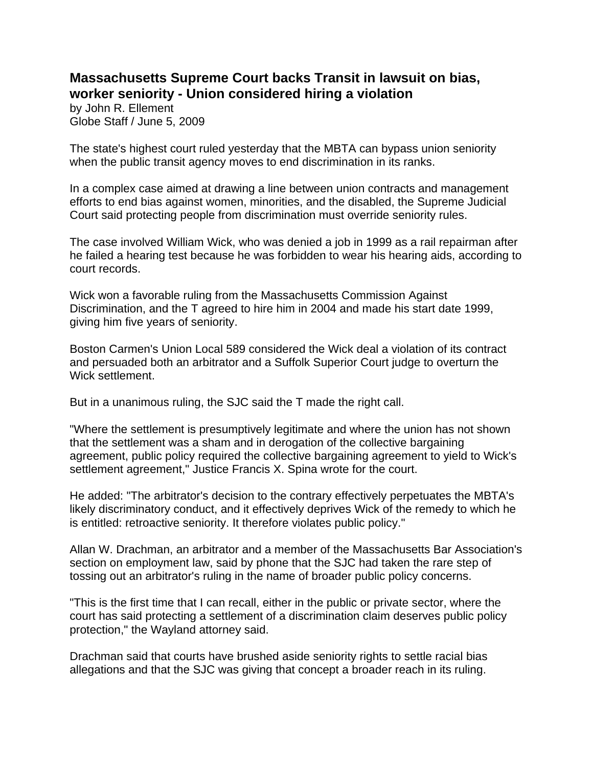## **Massachusetts Supreme Court backs Transit in lawsuit on bias, worker seniority - Union considered hiring a violation**

by John R. Ellement Globe Staff / June 5, 2009

The state's highest court ruled yesterday that the MBTA can bypass union seniority when the public transit agency moves to end discrimination in its ranks.

In a complex case aimed at drawing a line between union contracts and management efforts to end bias against women, minorities, and the disabled, the Supreme Judicial Court said protecting people from discrimination must override seniority rules.

The case involved William Wick, who was denied a job in 1999 as a rail repairman after he failed a hearing test because he was forbidden to wear his hearing aids, according to court records.

Wick won a favorable ruling from the Massachusetts Commission Against Discrimination, and the T agreed to hire him in 2004 and made his start date 1999, giving him five years of seniority.

Boston Carmen's Union Local 589 considered the Wick deal a violation of its contract and persuaded both an arbitrator and a Suffolk Superior Court judge to overturn the Wick settlement.

But in a unanimous ruling, the SJC said the T made the right call.

"Where the settlement is presumptively legitimate and where the union has not shown that the settlement was a sham and in derogation of the collective bargaining agreement, public policy required the collective bargaining agreement to yield to Wick's settlement agreement," Justice Francis X. Spina wrote for the court.

He added: "The arbitrator's decision to the contrary effectively perpetuates the MBTA's likely discriminatory conduct, and it effectively deprives Wick of the remedy to which he is entitled: retroactive seniority. It therefore violates public policy."

Allan W. Drachman, an arbitrator and a member of the Massachusetts Bar Association's section on employment law, said by phone that the SJC had taken the rare step of tossing out an arbitrator's ruling in the name of broader public policy concerns.

"This is the first time that I can recall, either in the public or private sector, where the court has said protecting a settlement of a discrimination claim deserves public policy protection," the Wayland attorney said.

Drachman said that courts have brushed aside seniority rights to settle racial bias allegations and that the SJC was giving that concept a broader reach in its ruling.